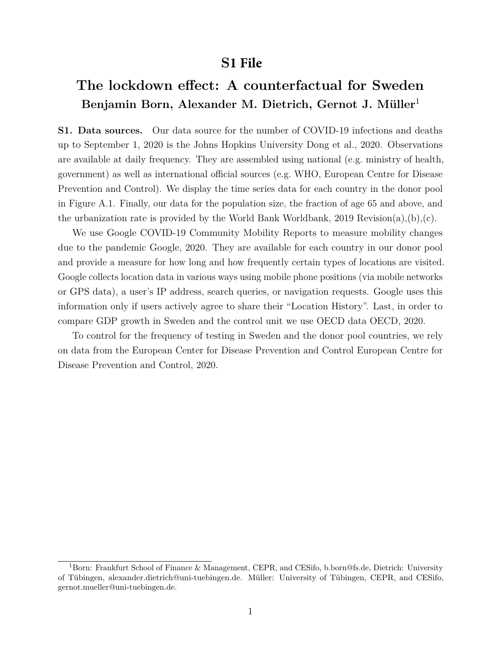## **S1 File**

## **The lockdown effect: A counterfactual for Sweden Benjamin Born, Alexander M. Dietrich, Gernot J. Müller**[1](#page-0-0)

**S1. Data sources.** Our data source for the number of COVID-19 infections and deaths up to September 1, 2020 is the Johns Hopkins University Dong et al., [2020.](#page-11-0) Observations are available at daily frequency. They are assembled using national (e.g. ministry of health, government) as well as international official sources (e.g. WHO, European Centre for Disease Prevention and Control). We display the time series data for each country in the donor pool in Figure [A.1.](#page-2-0) Finally, our data for the population size, the fraction of age 65 and above, and the urbanization rate is provided by the World Bank Worldbank, [2019 Revision\(a\),](#page-11-1)[\(b\),](#page-11-2)[\(c\).](#page-11-3)

We use Google COVID-19 Community Mobility Reports to measure mobility changes due to the pandemic Google, [2020.](#page-11-4) They are available for each country in our donor pool and provide a measure for how long and how frequently certain types of locations are visited. Google collects location data in various ways using mobile phone positions (via mobile networks or GPS data), a user's IP address, search queries, or navigation requests. Google uses this information only if users actively agree to share their "Location History". Last, in order to compare GDP growth in Sweden and the control unit we use OECD data OECD, [2020.](#page-11-5)

To control for the frequency of testing in Sweden and the donor pool countries, we rely on data from the European Center for Disease Prevention and Control European Centre for Disease Prevention and Control, [2020.](#page-11-6)

<span id="page-0-0"></span><sup>1</sup>Born: Frankfurt School of Finance & Management, CEPR, and CESifo, b.born@fs.de, Dietrich: University of Tübingen, alexander.dietrich@uni-tuebingen.de. Müller: University of Tübingen, CEPR, and CESifo, gernot.mueller@uni-tuebingen.de.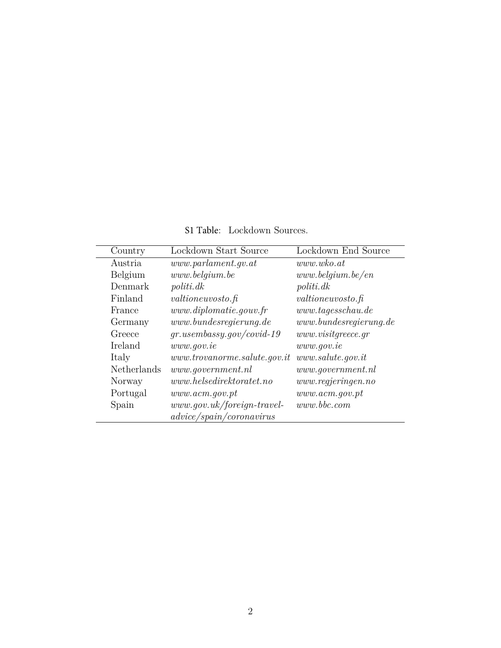S1 Table: Lockdown Sources.

| Country     | Lockdown Start Source          | Lockdown End Source    |
|-------------|--------------------------------|------------------------|
| Austria     | www. parlament. gv. at         | www.wko.at             |
| Belgium     | www. belqium. be               | www. belgium. be/en    |
| Denmark     | politi. dk                     | politi.dk              |
| Finland     | valtioneuvosto.fi              | valtioneuvosto.fi      |
| France      | www.diplomatie.gov.fr          | www.tageschau.de       |
| Germany     | www.bundesregierung.de         | www.bundesregierung.de |
| Greece      | $gr. use m$ bassy.gov/covid-19 | www.visitgreece.gr     |
| Ireland     | www.gov.ie                     | www.gov.ie             |
| Italy       | www.trovanorme.salute.gov.it   | www.salute.gov.it      |
| Netherlands | www.government.nl              | www.government.nl      |
| Norway      | www. helsedirektoratet.no      | www. regjeringen.no    |
| Portugal    | www. acm.gov. pt               | www. acm.gov. pt       |
| Spain       | $www.gov.uk/foreign-travel-$   | www.bbc.com            |
|             | advice/spain/coronavirus       |                        |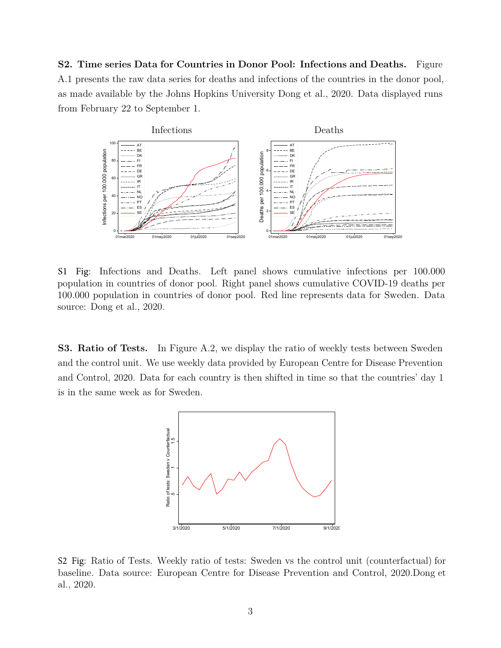**S2. Time series Data for Countries in Donor Pool: Infections and Deaths.** Figure [A.1](#page-2-0) presents the raw data series for deaths and infections of the countries in the donor pool, as made available by the Johns Hopkins University Dong et al., [2020.](#page-11-0) Data displayed runs from February 22 to September 1.

<span id="page-2-0"></span>

S1 Fig: Infections and Deaths. Left panel shows cumulative infections per 100.000 population in countries of donor pool. Right panel shows cumulative COVID-19 deaths per 100.000 population in countries of donor pool. Red line represents data for Sweden. Data source: Dong et al., [2020.](#page-11-0)

<span id="page-2-1"></span>**S3. Ratio of Tests.** In Figure [A.2,](#page-2-1) we display the ratio of weekly tests between Sweden and the control unit. We use weekly data provided by European Centre for Disease Prevention and Control, [2020.](#page-11-6) Data for each country is then shifted in time so that the countries' day 1 is in the same week as for Sweden.



S2 Fig: Ratio of Tests. Weekly ratio of tests: Sweden vs the control unit (counterfactual) for baseline. Data source: European Centre for Disease Prevention and Control, 2[020.D](#page-11-6)ong et al., 20[20.](#page-11-0)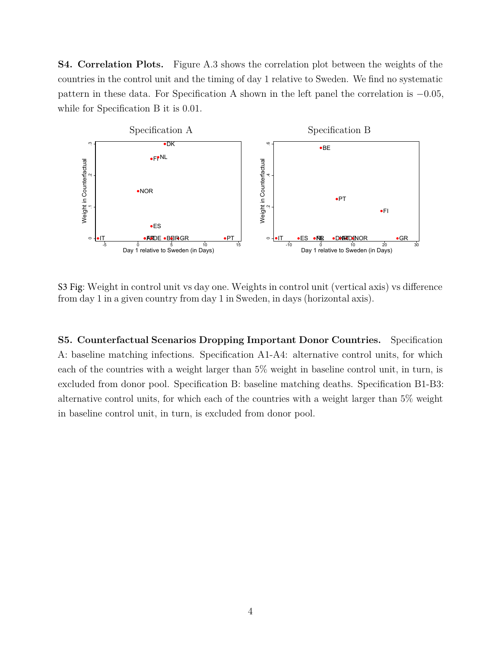**S4. Correlation Plots.** Figure [A.3](#page-3-0) shows the correlation plot between the weights of the countries in the control unit and the timing of day 1 relative to Sweden. We find no systematic pattern in these data. For Specification A shown in the left panel the correlation is −0*.*05, while for Specification B it is 0*.*01.

<span id="page-3-0"></span>

S3 Fig: Weight in control unit vs day one. Weights in control unit (vertical axis) vs difference from day 1 in a given country from day 1 in Sweden, in days (horizontal axis).

**S5. Counterfactual Scenarios Dropping Important Donor Countries.** Specification A: baseline matching infections. Specification A1-A4: alternative control units, for which each of the countries with a weight larger than 5% weight in baseline control unit, in turn, is excluded from donor pool. Specification B: baseline matching deaths. Specification B1-B3: alternative control units, for which each of the countries with a weight larger than 5% weight in baseline control unit, in turn, is excluded from donor pool.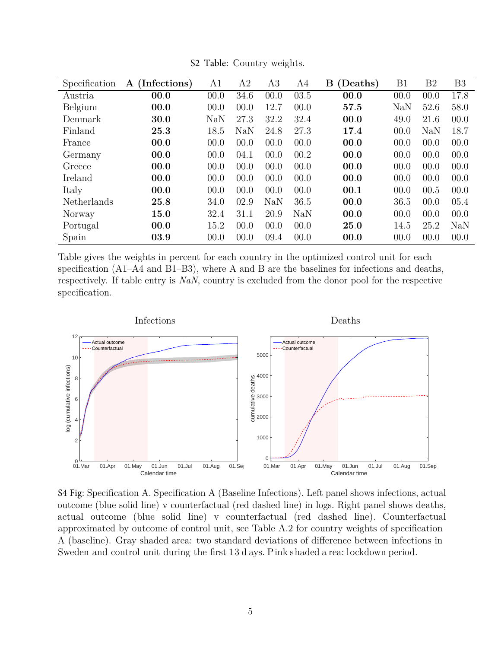<span id="page-4-0"></span>

| Specification | (Infections)<br>$\mathbf{A}$ | A1   | A2         | A3         | A4   | B<br>(Deaths) | B1         | B <sub>2</sub> | B <sub>3</sub> |
|---------------|------------------------------|------|------------|------------|------|---------------|------------|----------------|----------------|
| Austria       | 00.0                         | 00.0 | 34.6       | 00.0       | 03.5 | 00.0          | 00.0       | 00.0           | 17.8           |
| Belgium       | 00.0                         | 00.0 | 00.0       | 12.7       | 00.0 | 57.5          | <b>NaN</b> | 52.6           | 58.0           |
| Denmark       | 30.0                         | NaN  | 27.3       | 32.2       | 32.4 | 00.0          | 49.0       | 21.6           | 00.0           |
| Finland       | 25.3                         | 18.5 | <b>NaN</b> | 24.8       | 27.3 | 17.4          | 00.0       | NaN            | 18.7           |
| France        | 00.0                         | 00.0 | 00.0       | 00.0       | 00.0 | 00.0          | 00.0       | 00.0           | 00.0           |
| Germany       | 00.0                         | 00.0 | 04.1       | 00.0       | 00.2 | 00.0          | 00.0       | 00.0           | 00.0           |
| Greece        | 00.0                         | 00.0 | 00.0       | 00.0       | 00.0 | 00.0          | 00.0       | 00.0           | 00.0           |
| Ireland       | 00.0                         | 00.0 | 00.0       | 00.0       | 00.0 | 00.0          | 00.0       | 00.0           | 00.0           |
| Italy         | 00.0                         | 00.0 | 00.0       | 00.0       | 00.0 | 00.1          | 00.0       | 00.5           | 00.0           |
| Netherlands   | 25.8                         | 34.0 | 02.9       | <b>NaN</b> | 36.5 | 00.0          | 36.5       | 00.0           | 05.4           |
| Norway        | 15.0                         | 32.4 | 31.1       | 20.9       | NaN  | 00.0          | 00.0       | 00.0           | 00.0           |
| Portugal      | 00.0                         | 15.2 | 00.0       | 00.0       | 00.0 | 25.0          | 14.5       | 25.2           | <b>NaN</b>     |
| Spain         | 03.9                         | 00.0 | 00.0       | 09.4       | 00.0 | 00.0          | 00.0       | 00.0           | 00.0           |

S2 Table: Country weights.

Table gives the weights in percent for each country in the optimized control unit for each specification (A1–A4 and B1–B3), where A and B are the baselines for infections and deaths, respectively. If table entry is *NaN*, country is excluded from the donor pool for the respective specification.



S4 Fig: Specification A. Specification A (Baseline Infections). Left panel shows infections, actual outcome (blue solid line) v counterfactual (red dashed line) in logs. Right panel shows deaths, actual outcome (blue solid line) v counterfactual (red dashed line). Counterfactual approximated by outcome of control unit, see Table [A.2](#page-4-0) for country weights of specification A (baseline). Gray shaded area: two standard deviations of difference between infections in Sweden and control unit during the first 13 d ays. Pink shaded a rea: lockdown period.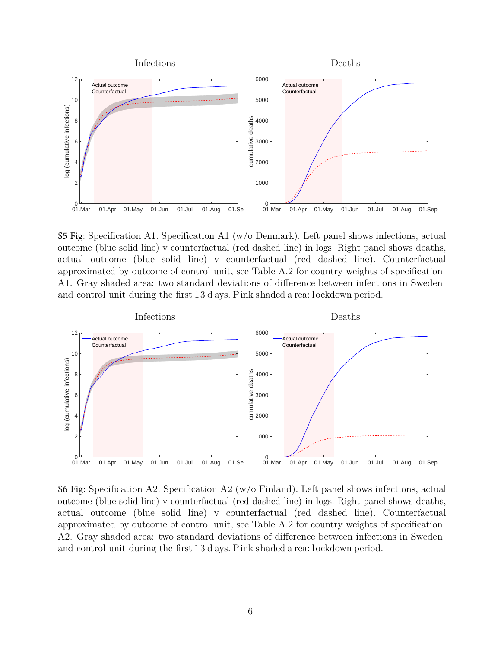

S5 Fig: Specification A1. Specification A1 (w/o Denmark). Left panel shows infections, actual outcome (blue solid line) v counterfactual (red dashed line) in logs. Right panel shows deaths, actual outcome (blue solid line) v counterfactual (red dashed line). Counterfactual approximated by outcome of control unit, see Table [A.2](#page-4-0) for country weights of specification A1. Gray shaded area: two standard deviations of difference between infections in Sweden and control unit during the first 13 d ays. Pink shaded a rea: lockdown period.



S6 Fig: Specification A2. Specification A2 (w/o Finland). Left panel shows infections, actual outcome (blue solid line) v counterfactual (red dashed line) in logs. Right panel shows deaths, actual outcome (blue solid line) v counterfactual (red dashed line). Counterfactual approximated by outcome of control unit, see Table [A.2](#page-4-0) for country weights of specification A2. Gray shaded area: two standard deviations of difference between infections in Sweden and control unit during the first 13 d ays. Pink shaded a rea: lockdown period.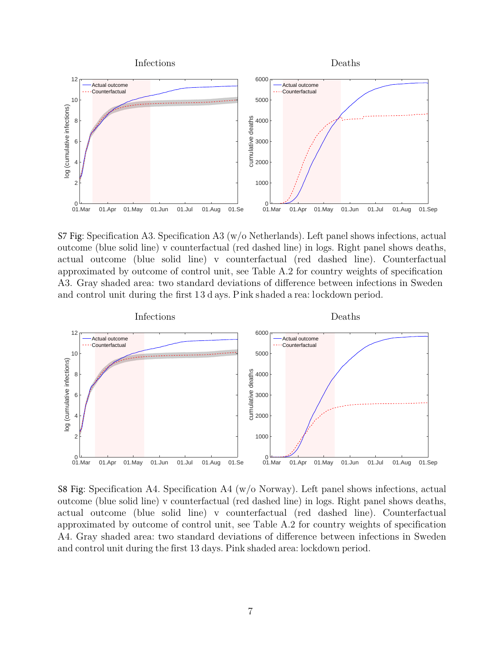

S7 Fig: Specification A3. Specification A3 (w/o Netherlands). Left panel shows infections, actual outcome (blue solid line) v counterfactual (red dashed line) in logs. Right panel shows deaths, actual outcome (blue solid line) v counterfactual (red dashed line). Counterfactual approximated by outcome of control unit, see Table [A.2](#page-4-0) for country weights of specification A3. Gray shaded area: two standard deviations of difference between infections in Sweden and control unit during the first 13 d ays. Pink shaded a rea: lockdown period.



S8 Fig: Specification A4. Specification A4 (w/o Norway). Left panel shows infections, actual outcome (blue solid line) v counterfactual (red dashed line) in logs. Right panel shows deaths, actual outcome (blue solid line) v counterfactual (red dashed line). Counterfactual approximated by outcome of control unit, see Table [A.2](#page-4-0) for country weights of specification A4. Gray shaded area: two standard deviations of difference between infections in Sweden and control unit during the first 13 days. Pink shaded area: lockdown period.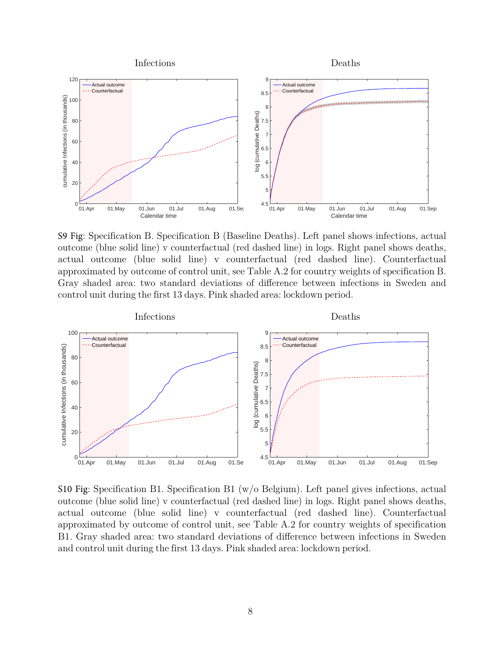

S9 Fig: Specification B. Specification B (Baseline Deaths). Left panel shows infections, actual outcome (blue solid line) v counterfactual (red dashed line) in logs. Right panel shows deaths, actual outcome (blue solid line) v counterfactual (red dashed line). Counterfactual approximated by outcome of control unit, see Table [A.2](#page-4-0) for country weights of specification B. Gray shaded area: two standard deviations of difference between infections in Sweden and control unit during the first 13 days. Pink shaded area: lockdown period.



S10 Fig: Specification B1. Specification B1 (w/o Belgium). Left panel gives infections, actual outcome (blue solid line) v counterfactual (red dashed line) in logs. Right panel shows deaths, actual outcome (blue solid line) v counterfactual (red dashed line). Counterfactual approximated by outcome of control unit, see Table [A.2](#page-4-0) for country weights of specification B1. Gray shaded area: two standard deviations of difference between infections in Sweden and control unit during the first 13 days. Pink shaded area: lockdown period.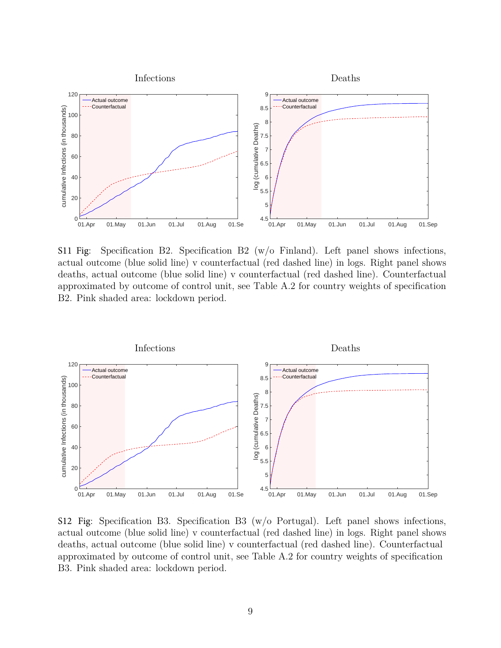

S11 Fig: Specification B2. Specification B2  $(w/o)$  Finland). Left panel shows infections, actual outcome (blue solid line) v counterfactual (red dashed line) in logs. Right panel shows deaths, actual outcome (blue solid line) v counterfactual (red dashed line). Counterfactual approximated by outcome of control unit, see Table [A.2](#page-4-0) for country weights of specification B2. Pink shaded area: lockdown period.



S12 Fig: Specification B3. Specification B3 (w/o Portugal). Left panel shows infections, actual outcome (blue solid line) v counterfactual (red dashed line) in logs. Right panel shows deaths, actual outcome (blue solid line) v counterfactual (red dashed line). Counterfactual approximated by outcome of control unit, see Table [A.2](#page-4-0) for country weights of specification B3. Pink shaded area: lockdown period.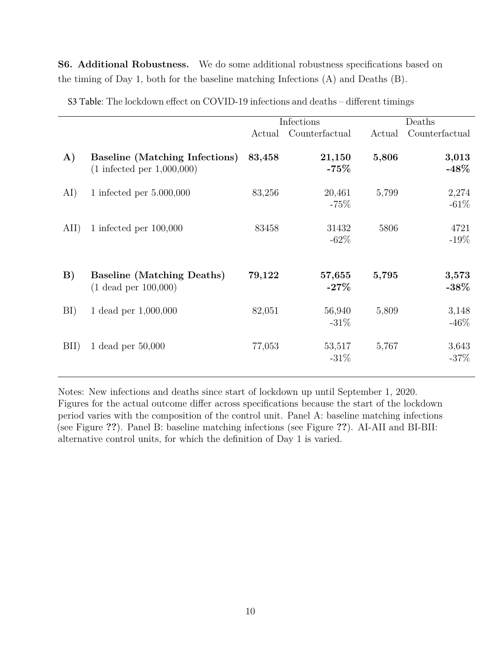**S6. Additional Robustness.** We do some additional robustness specifications based on the timing of Day 1, both for the baseline matching Infections (A) and Deaths (B).

|              |                                                                                | Infections |                   | Deaths |                   |
|--------------|--------------------------------------------------------------------------------|------------|-------------------|--------|-------------------|
|              |                                                                                | Actual     | Counterfactual    | Actual | Counterfactual    |
| $\bf{A}$     | <b>Baseline (Matching Infections)</b><br>$(1 \text{ infected per } 1,000,000)$ | 83,458     | 21,150<br>$-75%$  | 5,806  | 3,013<br>-48 $\%$ |
| AI)          | 1 infected per $5.000,000$                                                     | 83,256     | 20,461<br>$-75%$  | 5,799  | 2,274<br>$-61%$   |
| AII)         | 1 infected per $100,000$                                                       | 83458      | 31432<br>$-62\%$  | 5806   | 4721<br>$-19\%$   |
| $\mathbf{B}$ | <b>Baseline (Matching Deaths)</b><br>$(1 \text{ dead per } 100,000)$           | 79,122     | 57,655<br>$-27\%$ | 5,795  | 3,573<br>$-38\%$  |
| BI)          | 1 dead per 1,000,000                                                           | 82,051     | 56,940<br>$-31\%$ | 5,809  | 3,148<br>$-46%$   |
| BII)         | 1 dead per $50,000$                                                            | 77,053     | 53,517<br>$-31\%$ | 5,767  | 3,643<br>$-37%$   |

S3 Table: The lockdown effect on COVID-19 infections and deaths – different timings

Notes: New infections and deaths since start of lockdown up until September 1, 2020. Figures for the actual outcome differ across specifications because the start of the lockdown period varies with the composition of the control unit. Panel A: baseline matching infections (see Figure **??**). Panel B: baseline matching infections (see Figure **??**). AI-AII and BI-BII: alternative control units, for which the definition of Day 1 is varied.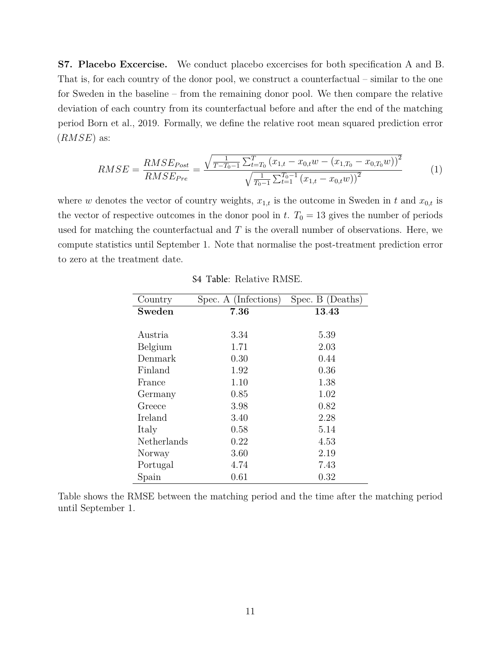**S7. Placebo Excercise.** We conduct placebo excercises for both specification A and B. That is, for each country of the donor pool, we construct a counterfactual – similar to the one for Sweden in the baseline – from the remaining donor pool. We then compare the relative deviation of each country from its counterfactual before and after the end of the matching period Born et al., [2019.](#page-11-7) Formally, we define the relative root mean squared prediction error (*RMSE*) as:

$$
RMSE = \frac{RMSE_{Post}}{RMSE_{Pre}} = \frac{\sqrt{\frac{1}{T - T_0 - 1} \sum_{t=T_0}^{T} (x_{1,t} - x_{0,t}w - (x_{1,T_0} - x_{0,T_0}w))^2}}{\sqrt{\frac{1}{T_0 - 1} \sum_{t=T_0}^{T_0 - 1} (x_{1,t} - x_{0,t}w))^2}}
$$
(1)

where *w* denotes the vector of country weights,  $x_{1,t}$  is the outcome in Sweden in *t* and  $x_{0,t}$  is the vector of respective outcomes in the donor pool in *t*.  $T_0 = 13$  gives the number of periods used for matching the counterfactual and *T* is the overall number of observations. Here, we compute statistics until September 1. Note that normalise the post-treatment prediction error to zero at the treatment date.

| Country     | Spec. A (Infections) | Spec. B (Deaths) |
|-------------|----------------------|------------------|
| Sweden      | 7.36                 | 13.43            |
|             |                      |                  |
| Austria     | 3.34                 | 5.39             |
| Belgium     | 1.71                 | 2.03             |
| Denmark     | 0.30                 | 0.44             |
| Finland     | 1.92                 | 0.36             |
| France      | 1.10                 | 1.38             |
| Germany     | 0.85                 | 1.02             |
| Greece      | 3.98                 | 0.82             |
| Ireland     | 3.40                 | 2.28             |
| Italy       | 0.58                 | 5.14             |
| Netherlands | 0.22                 | 4.53             |
| Norway      | 3.60                 | 2.19             |
| Portugal    | 4.74                 | 7.43             |
| Spain       | 0.61                 | 0.32             |

S4 Table: Relative RMSE.

Table shows the RMSE between the matching period and the time after the matching period until September 1.